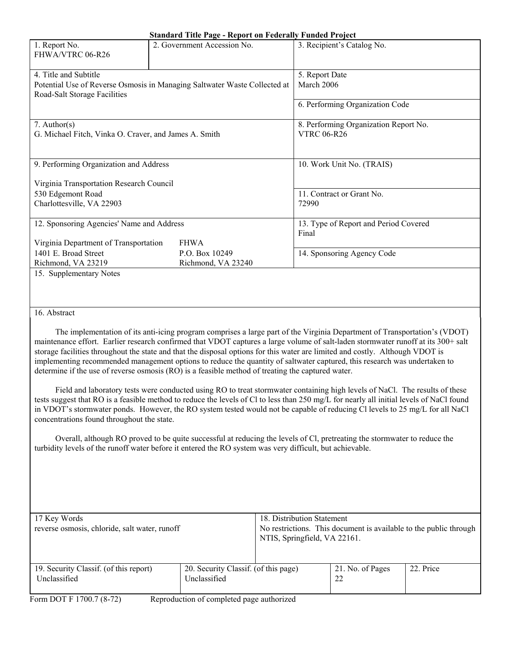|                                                       | Standard Thue I age - Keport on Federally Funded Troject                  |                                       |  |  |
|-------------------------------------------------------|---------------------------------------------------------------------------|---------------------------------------|--|--|
| 1. Report No.                                         | 2. Government Accession No.                                               | 3. Recipient's Catalog No.            |  |  |
| FHWA/VTRC 06-R26                                      |                                                                           |                                       |  |  |
|                                                       |                                                                           |                                       |  |  |
| 4. Title and Subtitle                                 |                                                                           | 5. Report Date                        |  |  |
|                                                       | Potential Use of Reverse Osmosis in Managing Saltwater Waste Collected at | March 2006                            |  |  |
| Road-Salt Storage Facilities                          |                                                                           |                                       |  |  |
|                                                       |                                                                           | 6. Performing Organization Code       |  |  |
|                                                       |                                                                           |                                       |  |  |
| 7. Author( $s$ )                                      |                                                                           | 8. Performing Organization Report No. |  |  |
| G. Michael Fitch, Vinka O. Craver, and James A. Smith |                                                                           | <b>VTRC 06-R26</b>                    |  |  |
|                                                       |                                                                           |                                       |  |  |
|                                                       |                                                                           |                                       |  |  |
| 9. Performing Organization and Address                |                                                                           | 10. Work Unit No. (TRAIS)             |  |  |
|                                                       |                                                                           |                                       |  |  |
| Virginia Transportation Research Council              |                                                                           |                                       |  |  |
| 530 Edgemont Road                                     |                                                                           | 11. Contract or Grant No.             |  |  |
| Charlottesville, VA 22903                             |                                                                           | 72990                                 |  |  |
|                                                       |                                                                           |                                       |  |  |
| 12. Sponsoring Agencies' Name and Address             |                                                                           | 13. Type of Report and Period Covered |  |  |
|                                                       |                                                                           | Final                                 |  |  |
| Virginia Department of Transportation                 | <b>FHWA</b>                                                               |                                       |  |  |
| 1401 E. Broad Street                                  | P.O. Box 10249                                                            | 14. Sponsoring Agency Code            |  |  |
| Richmond, VA 23219                                    | Richmond, VA 23240                                                        |                                       |  |  |
| 15. Supplementary Notes                               |                                                                           |                                       |  |  |
|                                                       |                                                                           |                                       |  |  |

16. Abstract

 The implementation of its anti-icing program comprises a large part of the Virginia Department of Transportation's (VDOT) maintenance effort. Earlier research confirmed that VDOT captures a large volume of salt-laden stormwater runoff at its 300+ salt storage facilities throughout the state and that the disposal options for this water are limited and costly. Although VDOT is implementing recommended management options to reduce the quantity of saltwater captured, this research was undertaken to determine if the use of reverse osmosis (RO) is a feasible method of treating the captured water.

 Field and laboratory tests were conducted using RO to treat stormwater containing high levels of NaCl. The results of these tests suggest that RO is a feasible method to reduce the levels of Cl to less than 250 mg/L for nearly all initial levels of NaCl found in VDOT's stormwater ponds. However, the RO system tested would not be capable of reducing Cl levels to 25 mg/L for all NaCl concentrations found throughout the state.

 Overall, although RO proved to be quite successful at reducing the levels of Cl, pretreating the stormwater to reduce the turbidity levels of the runoff water before it entered the RO system was very difficult, but achievable.

| 17 Key Words<br>reverse osmosis, chloride, salt water, runoff                                 | 18. Distribution Statement<br>No restrictions. This document is available to the public through<br>NTIS, Springfield, VA 22161. |  |                        |           |
|-----------------------------------------------------------------------------------------------|---------------------------------------------------------------------------------------------------------------------------------|--|------------------------|-----------|
| 19. Security Classif. (of this report)<br>Unclassified<br>$\sim$<br><b>DOPP 1500 5 10 50)</b> | 20. Security Classif. (of this page)<br>Unclassified<br>$\mathbf{1}$ $\mathbf{1}$<br>$\sim$                                     |  | 21. No. of Pages<br>22 | 22. Price |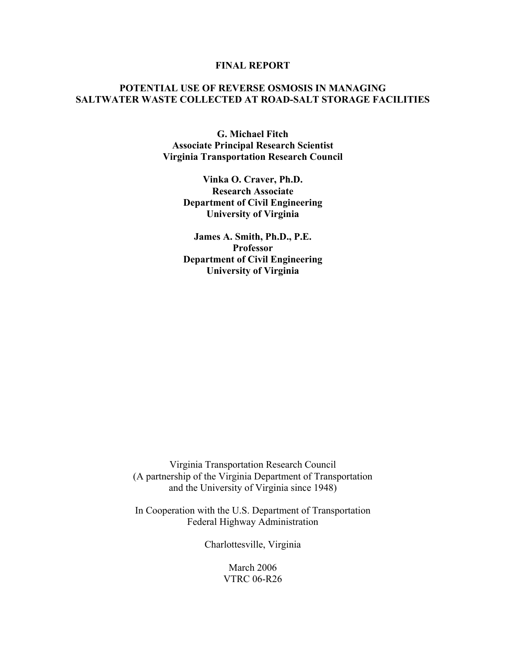### **FINAL REPORT**

# **POTENTIAL USE OF REVERSE OSMOSIS IN MANAGING SALTWATER WASTE COLLECTED AT ROAD-SALT STORAGE FACILITIES**

**G. Michael Fitch Associate Principal Research Scientist Virginia Transportation Research Council** 

> **Vinka O. Craver, Ph.D. Research Associate Department of Civil Engineering University of Virginia**

> **James A. Smith, Ph.D., P.E. Professor Department of Civil Engineering University of Virginia**

Virginia Transportation Research Council (A partnership of the Virginia Department of Transportation and the University of Virginia since 1948)

In Cooperation with the U.S. Department of Transportation Federal Highway Administration

Charlottesville, Virginia

March 2006 VTRC 06-R26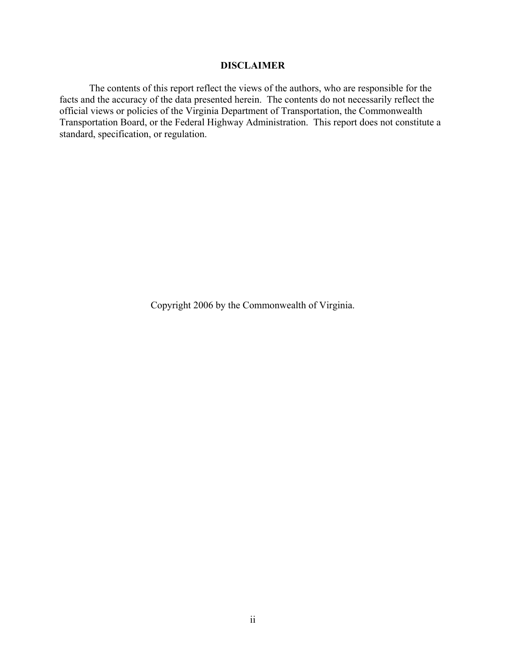# **DISCLAIMER**

The contents of this report reflect the views of the authors, who are responsible for the facts and the accuracy of the data presented herein. The contents do not necessarily reflect the official views or policies of the Virginia Department of Transportation, the Commonwealth Transportation Board, or the Federal Highway Administration. This report does not constitute a standard, specification, or regulation.

Copyright 2006 by the Commonwealth of Virginia.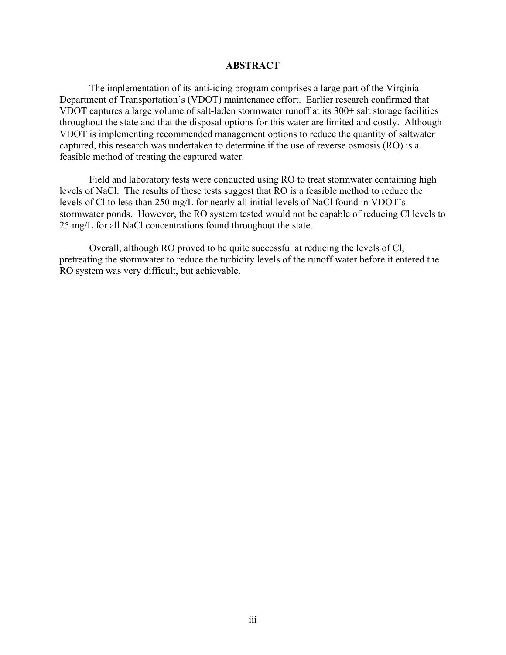### **ABSTRACT**

The implementation of its anti-icing program comprises a large part of the Virginia Department of Transportation's (VDOT) maintenance effort. Earlier research confirmed that VDOT captures a large volume of salt-laden stormwater runoff at its 300+ salt storage facilities throughout the state and that the disposal options for this water are limited and costly. Although VDOT is implementing recommended management options to reduce the quantity of saltwater captured, this research was undertaken to determine if the use of reverse osmosis (RO) is a feasible method of treating the captured water.

Field and laboratory tests were conducted using RO to treat stormwater containing high levels of NaCl. The results of these tests suggest that RO is a feasible method to reduce the levels of Cl to less than 250 mg/L for nearly all initial levels of NaCl found in VDOT's stormwater ponds. However, the RO system tested would not be capable of reducing Cl levels to 25 mg/L for all NaCl concentrations found throughout the state.

Overall, although RO proved to be quite successful at reducing the levels of Cl, pretreating the stormwater to reduce the turbidity levels of the runoff water before it entered the RO system was very difficult, but achievable.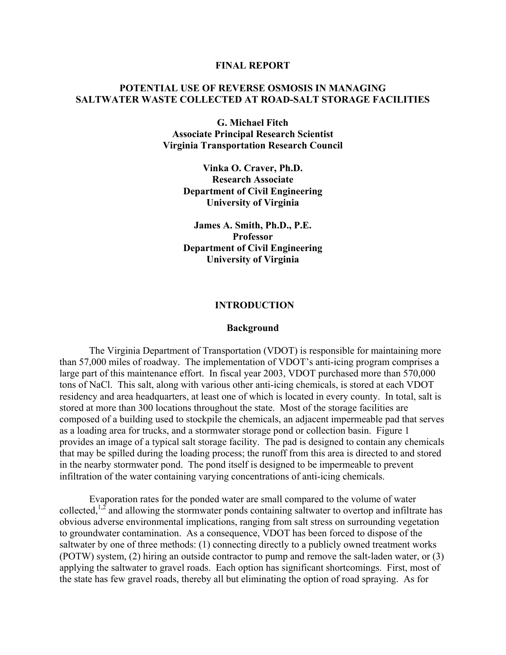### **FINAL REPORT**

# **POTENTIAL USE OF REVERSE OSMOSIS IN MANAGING SALTWATER WASTE COLLECTED AT ROAD-SALT STORAGE FACILITIES**

**G. Michael Fitch Associate Principal Research Scientist Virginia Transportation Research Council** 

> **Vinka O. Craver, Ph.D. Research Associate Department of Civil Engineering University of Virginia**

> **James A. Smith, Ph.D., P.E. Professor Department of Civil Engineering University of Virginia**

### **INTRODUCTION**

#### **Background**

 The Virginia Department of Transportation (VDOT) is responsible for maintaining more than 57,000 miles of roadway. The implementation of VDOT's anti-icing program comprises a large part of this maintenance effort. In fiscal year 2003, VDOT purchased more than 570,000 tons of NaCl. This salt, along with various other anti-icing chemicals, is stored at each VDOT residency and area headquarters, at least one of which is located in every county. In total, salt is stored at more than 300 locations throughout the state. Most of the storage facilities are composed of a building used to stockpile the chemicals, an adjacent impermeable pad that serves as a loading area for trucks, and a stormwater storage pond or collection basin. Figure 1 provides an image of a typical salt storage facility. The pad is designed to contain any chemicals that may be spilled during the loading process; the runoff from this area is directed to and stored in the nearby stormwater pond. The pond itself is designed to be impermeable to prevent infiltration of the water containing varying concentrations of anti-icing chemicals.

 Evaporation rates for the ponded water are small compared to the volume of water collected,<sup>1,2</sup> and allowing the stormwater ponds containing saltwater to overtop and infiltrate has obvious adverse environmental implications, ranging from salt stress on surrounding vegetation to groundwater contamination. As a consequence, VDOT has been forced to dispose of the saltwater by one of three methods: (1) connecting directly to a publicly owned treatment works (POTW) system, (2) hiring an outside contractor to pump and remove the salt-laden water, or (3) applying the saltwater to gravel roads. Each option has significant shortcomings. First, most of the state has few gravel roads, thereby all but eliminating the option of road spraying. As for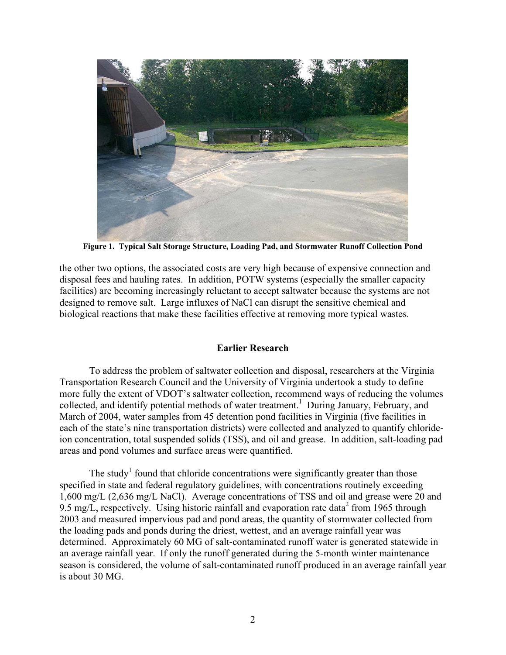

**Figure 1. Typical Salt Storage Structure, Loading Pad, and Stormwater Runoff Collection Pond**

the other two options, the associated costs are very high because of expensive connection and disposal fees and hauling rates. In addition, POTW systems (especially the smaller capacity facilities) are becoming increasingly reluctant to accept saltwater because the systems are not designed to remove salt. Large influxes of NaCl can disrupt the sensitive chemical and biological reactions that make these facilities effective at removing more typical wastes.

# **Earlier Research**

To address the problem of saltwater collection and disposal, researchers at the Virginia Transportation Research Council and the University of Virginia undertook a study to define more fully the extent of VDOT's saltwater collection, recommend ways of reducing the volumes collected, and identify potential methods of water treatment.<sup>1</sup> During January, February, and March of 2004, water samples from 45 detention pond facilities in Virginia (five facilities in each of the state's nine transportation districts) were collected and analyzed to quantify chlorideion concentration, total suspended solids (TSS), and oil and grease. In addition, salt-loading pad areas and pond volumes and surface areas were quantified.

The study<sup>1</sup> found that chloride concentrations were significantly greater than those specified in state and federal regulatory guidelines, with concentrations routinely exceeding 1,600 mg/L (2,636 mg/L NaCl). Average concentrations of TSS and oil and grease were 20 and 9.5 mg/L, respectively. Using historic rainfall and evaporation rate data<sup>2</sup> from 1965 through 2003 and measured impervious pad and pond areas, the quantity of stormwater collected from the loading pads and ponds during the driest, wettest, and an average rainfall year was determined. Approximately 60 MG of salt-contaminated runoff water is generated statewide in an average rainfall year. If only the runoff generated during the 5-month winter maintenance season is considered, the volume of salt-contaminated runoff produced in an average rainfall year is about 30 MG.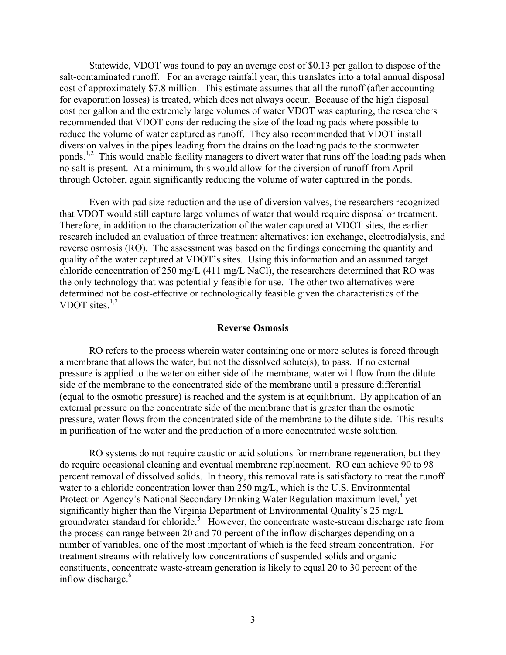Statewide, VDOT was found to pay an average cost of \$0.13 per gallon to dispose of the salt-contaminated runoff. For an average rainfall year, this translates into a total annual disposal cost of approximately \$7.8 million. This estimate assumes that all the runoff (after accounting for evaporation losses) is treated, which does not always occur. Because of the high disposal cost per gallon and the extremely large volumes of water VDOT was capturing, the researchers recommended that VDOT consider reducing the size of the loading pads where possible to reduce the volume of water captured as runoff. They also recommended that VDOT install diversion valves in the pipes leading from the drains on the loading pads to the stormwater ponds.<sup>1,2</sup> This would enable facility managers to divert water that runs off the loading pads when no salt is present. At a minimum, this would allow for the diversion of runoff from April through October, again significantly reducing the volume of water captured in the ponds.

Even with pad size reduction and the use of diversion valves, the researchers recognized that VDOT would still capture large volumes of water that would require disposal or treatment. Therefore, in addition to the characterization of the water captured at VDOT sites, the earlier research included an evaluation of three treatment alternatives: ion exchange, electrodialysis, and reverse osmosis (RO). The assessment was based on the findings concerning the quantity and quality of the water captured at VDOT's sites. Using this information and an assumed target chloride concentration of 250 mg/L (411 mg/L NaCl), the researchers determined that RO was the only technology that was potentially feasible for use. The other two alternatives were determined not be cost-effective or technologically feasible given the characteristics of the VDOT sites. $1,2$ 

#### **Reverse Osmosis**

RO refers to the process wherein water containing one or more solutes is forced through a membrane that allows the water, but not the dissolved solute(s), to pass. If no external pressure is applied to the water on either side of the membrane, water will flow from the dilute side of the membrane to the concentrated side of the membrane until a pressure differential (equal to the osmotic pressure) is reached and the system is at equilibrium. By application of an external pressure on the concentrate side of the membrane that is greater than the osmotic pressure, water flows from the concentrated side of the membrane to the dilute side. This results in purification of the water and the production of a more concentrated waste solution.

RO systems do not require caustic or acid solutions for membrane regeneration, but they do require occasional cleaning and eventual membrane replacement. RO can achieve 90 to 98 percent removal of dissolved solids. In theory, this removal rate is satisfactory to treat the runoff water to a chloride concentration lower than 250 mg/L, which is the U.S. Environmental Protection Agency's National Secondary Drinking Water Regulation maximum level,<sup>4</sup> yet significantly higher than the Virginia Department of Environmental Quality's 25 mg/L groundwater standard for chloride.<sup>5</sup> However, the concentrate waste-stream discharge rate from the process can range between 20 and 70 percent of the inflow discharges depending on a number of variables, one of the most important of which is the feed stream concentration. For treatment streams with relatively low concentrations of suspended solids and organic constituents, concentrate waste-stream generation is likely to equal 20 to 30 percent of the inflow discharge.<sup>6</sup>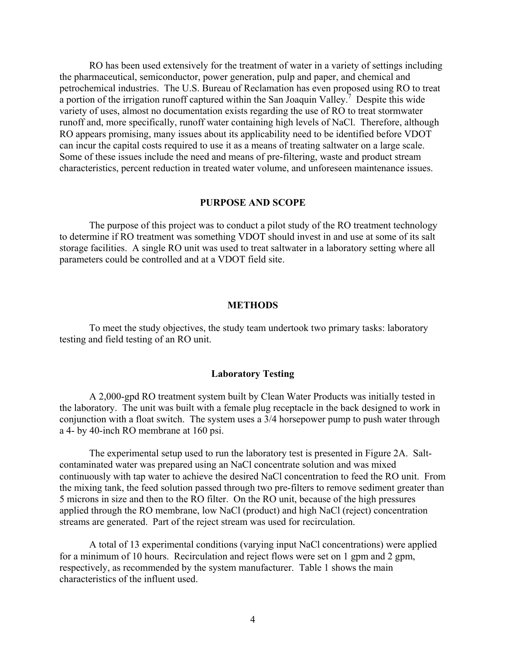RO has been used extensively for the treatment of water in a variety of settings including the pharmaceutical, semiconductor, power generation, pulp and paper, and chemical and petrochemical industries. The U.S. Bureau of Reclamation has even proposed using RO to treat a portion of the irrigation runoff captured within the San Joaquin Valley.<sup>7</sup> Despite this wide variety of uses, almost no documentation exists regarding the use of RO to treat stormwater runoff and, more specifically, runoff water containing high levels of NaCl. Therefore, although RO appears promising, many issues about its applicability need to be identified before VDOT can incur the capital costs required to use it as a means of treating saltwater on a large scale. Some of these issues include the need and means of pre-filtering, waste and product stream characteristics, percent reduction in treated water volume, and unforeseen maintenance issues.

#### **PURPOSE AND SCOPE**

The purpose of this project was to conduct a pilot study of the RO treatment technology to determine if RO treatment was something VDOT should invest in and use at some of its salt storage facilities. A single RO unit was used to treat saltwater in a laboratory setting where all parameters could be controlled and at a VDOT field site.

## **METHODS**

 To meet the study objectives, the study team undertook two primary tasks: laboratory testing and field testing of an RO unit.

#### **Laboratory Testing**

A 2,000-gpd RO treatment system built by Clean Water Products was initially tested in the laboratory. The unit was built with a female plug receptacle in the back designed to work in conjunction with a float switch. The system uses a 3/4 horsepower pump to push water through a 4- by 40-inch RO membrane at 160 psi.

The experimental setup used to run the laboratory test is presented in Figure 2A. Saltcontaminated water was prepared using an NaCl concentrate solution and was mixed continuously with tap water to achieve the desired NaCl concentration to feed the RO unit. From the mixing tank, the feed solution passed through two pre-filters to remove sediment greater than 5 microns in size and then to the RO filter. On the RO unit, because of the high pressures applied through the RO membrane, low NaCl (product) and high NaCl (reject) concentration streams are generated. Part of the reject stream was used for recirculation.

A total of 13 experimental conditions (varying input NaCl concentrations) were applied for a minimum of 10 hours. Recirculation and reject flows were set on 1 gpm and 2 gpm. respectively, as recommended by the system manufacturer. Table 1 shows the main characteristics of the influent used.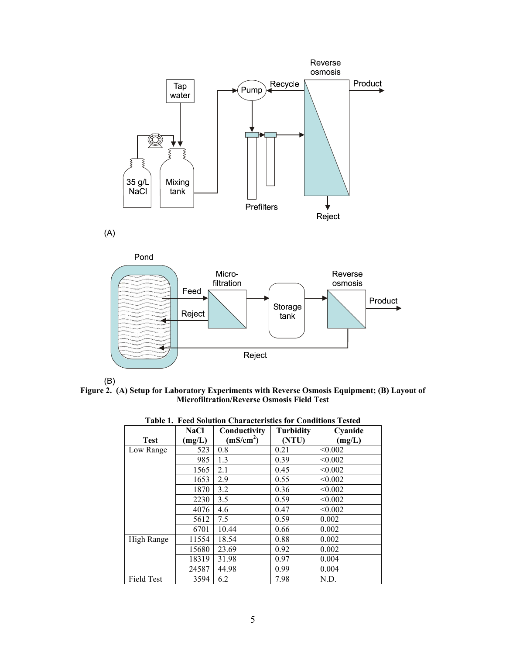

 $(A)$ 





**Figure 2. (A) Setup for Laboratory Experiments with Reverse Osmosis Equipment; (B) Layout of Microfiltration/Reverse Osmosis Field Test**

| Table 1. Feed Solution Characteristics for Conditions Tested |             |                       |                  |         |  |  |  |
|--------------------------------------------------------------|-------------|-----------------------|------------------|---------|--|--|--|
|                                                              | <b>NaCl</b> | Conductivity          | <b>Turbidity</b> | Cyanide |  |  |  |
| <b>Test</b>                                                  | (mg/L)      | (mS/cm <sup>2</sup> ) | (NTU)            | (mg/L)  |  |  |  |
| Low Range                                                    | 523         | 0.8                   | 0.21             | < 0.002 |  |  |  |
|                                                              | 985         | 1.3                   | 0.39             | < 0.002 |  |  |  |
|                                                              | 1565        | 2.1                   | 0.45             | < 0.002 |  |  |  |
|                                                              | 1653        | 2.9                   | 0.55             | < 0.002 |  |  |  |
|                                                              | 1870        | 3.2                   | 0.36             | < 0.002 |  |  |  |
|                                                              | 2230        | 3.5                   | 0.59             | < 0.002 |  |  |  |
|                                                              | 4076        | 4.6                   | 0.47             | < 0.002 |  |  |  |
|                                                              | 5612        | 7.5                   | 0.59             | 0.002   |  |  |  |
|                                                              | 6701        | 10.44                 | 0.66             | 0.002   |  |  |  |
| High Range                                                   | 11554       | 18.54                 | 0.88             | 0.002   |  |  |  |
|                                                              | 15680       | 23.69                 | 0.92             | 0.002   |  |  |  |
|                                                              | 18319       | 31.98                 | 0.97             | 0.004   |  |  |  |
|                                                              | 24587       | 44.98                 | 0.99             | 0.004   |  |  |  |
| <b>Field Test</b>                                            | 3594        | 6.2                   | 7.98             | N.D.    |  |  |  |

**Table 1. Feed Solution Characteristics for Conditions Tested**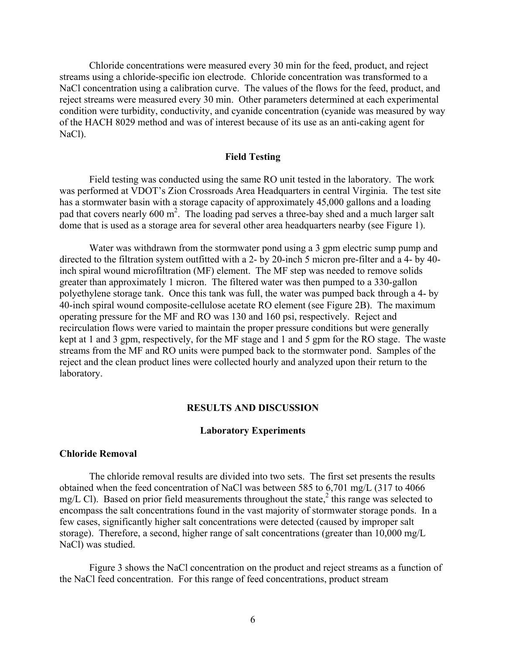Chloride concentrations were measured every 30 min for the feed, product, and reject streams using a chloride-specific ion electrode. Chloride concentration was transformed to a NaCl concentration using a calibration curve. The values of the flows for the feed, product, and reject streams were measured every 30 min. Other parameters determined at each experimental condition were turbidity, conductivity, and cyanide concentration (cyanide was measured by way of the HACH 8029 method and was of interest because of its use as an anti-caking agent for NaCl).

## **Field Testing**

Field testing was conducted using the same RO unit tested in the laboratory. The work was performed at VDOT's Zion Crossroads Area Headquarters in central Virginia. The test site has a stormwater basin with a storage capacity of approximately 45,000 gallons and a loading pad that covers nearly 600 m<sup>2</sup>. The loading pad serves a three-bay shed and a much larger salt dome that is used as a storage area for several other area headquarters nearby (see Figure 1).

Water was withdrawn from the stormwater pond using a 3 gpm electric sump pump and directed to the filtration system outfitted with a 2- by 20-inch 5 micron pre-filter and a 4- by 40 inch spiral wound microfiltration (MF) element. The MF step was needed to remove solids greater than approximately 1 micron. The filtered water was then pumped to a 330-gallon polyethylene storage tank. Once this tank was full, the water was pumped back through a 4- by 40-inch spiral wound composite-cellulose acetate RO element (see Figure 2B). The maximum operating pressure for the MF and RO was 130 and 160 psi, respectively. Reject and recirculation flows were varied to maintain the proper pressure conditions but were generally kept at 1 and 3 gpm, respectively, for the MF stage and 1 and 5 gpm for the RO stage. The waste streams from the MF and RO units were pumped back to the stormwater pond. Samples of the reject and the clean product lines were collected hourly and analyzed upon their return to the laboratory.

#### **RESULTS AND DISCUSSION**

#### **Laboratory Experiments**

#### **Chloride Removal**

The chloride removal results are divided into two sets. The first set presents the results obtained when the feed concentration of NaCl was between 585 to 6,701 mg/L (317 to 4066 mg/L Cl). Based on prior field measurements throughout the state,<sup>2</sup> this range was selected to encompass the salt concentrations found in the vast majority of stormwater storage ponds. In a few cases, significantly higher salt concentrations were detected (caused by improper salt storage). Therefore, a second, higher range of salt concentrations (greater than 10,000 mg/L NaCl) was studied.

Figure 3 shows the NaCl concentration on the product and reject streams as a function of the NaCl feed concentration. For this range of feed concentrations, product stream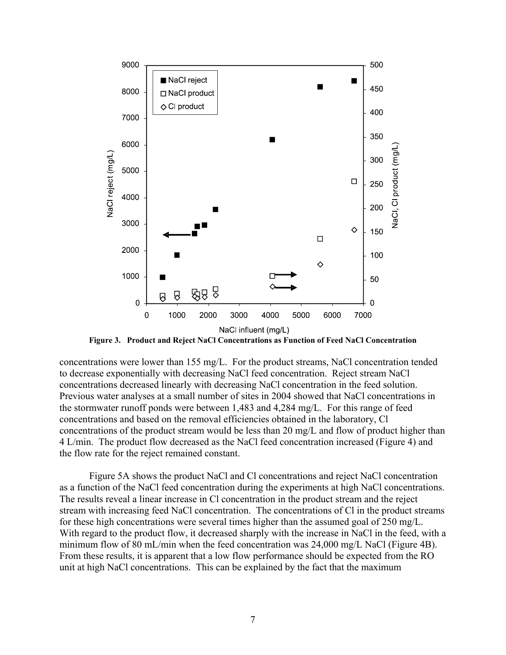

**Figure 3. Product and Reject NaCl Concentrations as Function of Feed NaCl Concentration** 

concentrations were lower than 155 mg/L. For the product streams, NaCl concentration tended to decrease exponentially with decreasing NaCl feed concentration. Reject stream NaCl concentrations decreased linearly with decreasing NaCl concentration in the feed solution. Previous water analyses at a small number of sites in 2004 showed that NaCl concentrations in the stormwater runoff ponds were between 1,483 and 4,284 mg/L. For this range of feed concentrations and based on the removal efficiencies obtained in the laboratory, Cl concentrations of the product stream would be less than 20 mg/L and flow of product higher than 4 L/min. The product flow decreased as the NaCl feed concentration increased (Figure 4) and the flow rate for the reject remained constant.

 Figure 5A shows the product NaCl and Cl concentrations and reject NaCl concentration as a function of the NaCl feed concentration during the experiments at high NaCl concentrations. The results reveal a linear increase in Cl concentration in the product stream and the reject stream with increasing feed NaCl concentration. The concentrations of Cl in the product streams for these high concentrations were several times higher than the assumed goal of 250 mg/L. With regard to the product flow, it decreased sharply with the increase in NaCl in the feed, with a minimum flow of 80 mL/min when the feed concentration was 24,000 mg/L NaCl (Figure 4B). From these results, it is apparent that a low flow performance should be expected from the RO unit at high NaCl concentrations. This can be explained by the fact that the maximum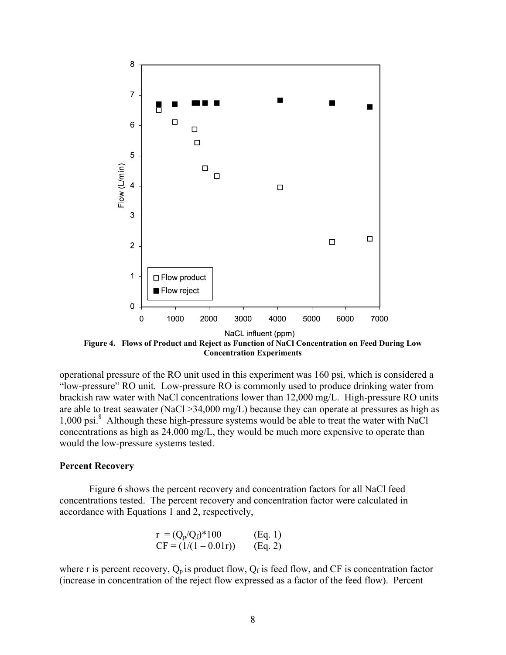

**Figure 4. Flows of Product and Reject as Function of NaCl Concentration on Feed During Low Concentration Experiments** 

operational pressure of the RO unit used in this experiment was 160 psi, which is considered a "low-pressure" RO unit. Low-pressure RO is commonly used to produce drinking water from brackish raw water with NaCl concentrations lower than 12,000 mg/L. High-pressure RO units are able to treat seawater (NaCl  $>$ 34,000 mg/L) because they can operate at pressures as high as 1,000 psi.<sup>8</sup> Although these high-pressure systems would be able to treat the water with NaCl concentrations as high as 24,000 mg/L, they would be much more expensive to operate than would the low-pressure systems tested.

## **Percent Recovery**

Figure 6 shows the percent recovery and concentration factors for all NaCl feed concentrations tested. The percent recovery and concentration factor were calculated in accordance with Equations 1 and 2, respectively,

$$
r = (Q_p/Q_f)^*100
$$
 (Eq. 1)  
CF = (1/(1 – 0.01r)) (Eq. 2)

where r is percent recovery,  $Q_p$  is product flow,  $Q_f$  is feed flow, and CF is concentration factor (increase in concentration of the reject flow expressed as a factor of the feed flow). Percent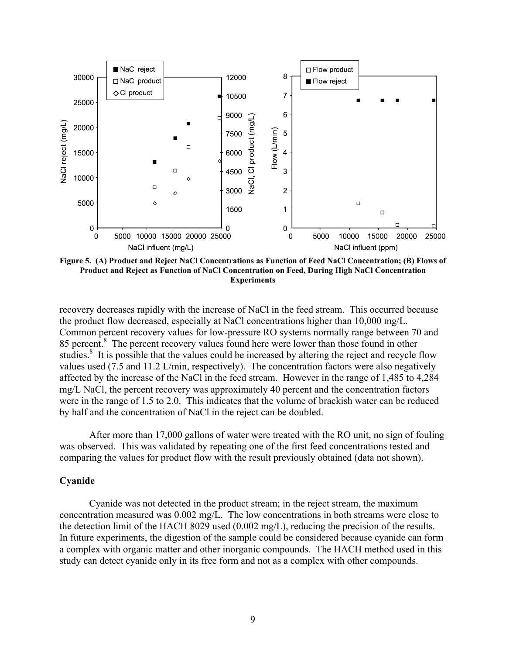

**Figure 5. (A) Product and Reject NaCl Concentrations as Function of Feed NaCl Concentration; (B) Flows of Product and Reject as Function of NaCl Concentration on Feed, During High NaCl Concentration Experiments** 

recovery decreases rapidly with the increase of NaCl in the feed stream. This occurred because the product flow decreased, especially at NaCl concentrations higher than 10,000 mg/L. Common percent recovery values for low-pressure RO systems normally range between 70 and 85 percent.<sup>8</sup> The percent recovery values found here were lower than those found in other studies.<sup>8</sup> It is possible that the values could be increased by altering the reject and recycle flow values used (7.5 and 11.2 L/min, respectively). The concentration factors were also negatively affected by the increase of the NaCl in the feed stream. However in the range of 1,485 to 4,284 mg/L NaCl, the percent recovery was approximately 40 percent and the concentration factors were in the range of 1.5 to 2.0. This indicates that the volume of brackish water can be reduced by half and the concentration of NaCl in the reject can be doubled.

 After more than 17,000 gallons of water were treated with the RO unit, no sign of fouling was observed. This was validated by repeating one of the first feed concentrations tested and comparing the values for product flow with the result previously obtained (data not shown).

### **Cyanide**

Cyanide was not detected in the product stream; in the reject stream, the maximum concentration measured was 0.002 mg/L. The low concentrations in both streams were close to the detection limit of the HACH 8029 used (0.002 mg/L), reducing the precision of the results. In future experiments, the digestion of the sample could be considered because cyanide can form a complex with organic matter and other inorganic compounds. The HACH method used in this study can detect cyanide only in its free form and not as a complex with other compounds.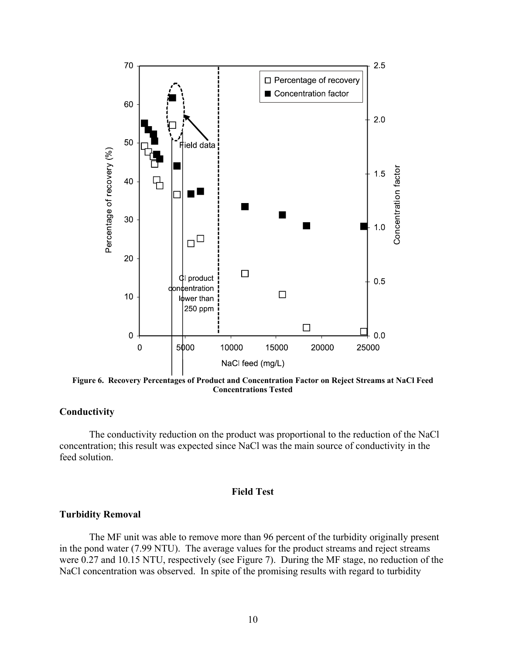

**Figure 6. Recovery Percentages of Product and Concentration Factor on Reject Streams at NaCl Feed Concentrations Tested** 

# **Conductivity**

The conductivity reduction on the product was proportional to the reduction of the NaCl concentration; this result was expected since NaCl was the main source of conductivity in the feed solution.

## **Field Test**

## **Turbidity Removal**

The MF unit was able to remove more than 96 percent of the turbidity originally present in the pond water (7.99 NTU). The average values for the product streams and reject streams were 0.27 and 10.15 NTU, respectively (see Figure 7). During the MF stage, no reduction of the NaCl concentration was observed. In spite of the promising results with regard to turbidity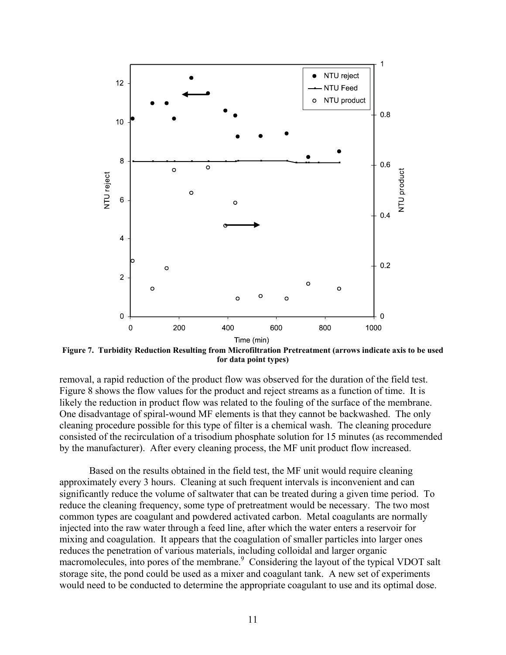

**Figure 7. Turbidity Reduction Resulting from Microfiltration Pretreatment (arrows indicate axis to be used for data point types)** 

removal, a rapid reduction of the product flow was observed for the duration of the field test. Figure 8 shows the flow values for the product and reject streams as a function of time. It is likely the reduction in product flow was related to the fouling of the surface of the membrane. One disadvantage of spiral-wound MF elements is that they cannot be backwashed. The only cleaning procedure possible for this type of filter is a chemical wash. The cleaning procedure consisted of the recirculation of a trisodium phosphate solution for 15 minutes (as recommended by the manufacturer). After every cleaning process, the MF unit product flow increased.

Based on the results obtained in the field test, the MF unit would require cleaning approximately every 3 hours. Cleaning at such frequent intervals is inconvenient and can significantly reduce the volume of saltwater that can be treated during a given time period. To reduce the cleaning frequency, some type of pretreatment would be necessary. The two most common types are coagulant and powdered activated carbon. Metal coagulants are normally injected into the raw water through a feed line, after which the water enters a reservoir for mixing and coagulation. It appears that the coagulation of smaller particles into larger ones reduces the penetration of various materials, including colloidal and larger organic macromolecules, into pores of the membrane.<sup>9</sup> Considering the layout of the typical VDOT salt storage site, the pond could be used as a mixer and coagulant tank. A new set of experiments would need to be conducted to determine the appropriate coagulant to use and its optimal dose.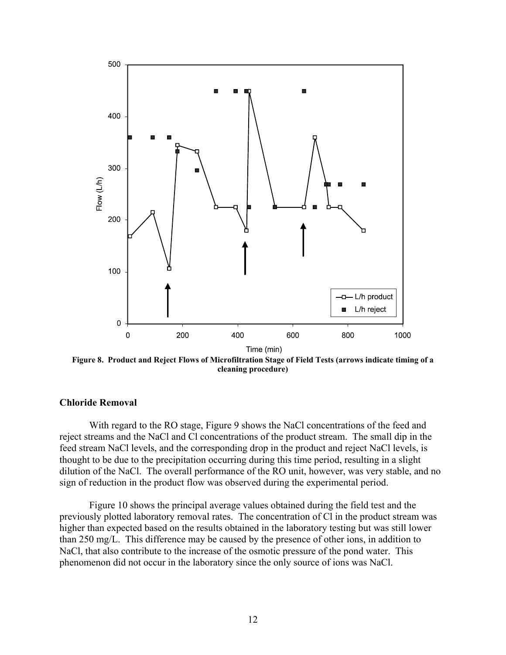

**Figure 8. Product and Reject Flows of Microfiltration Stage of Field Tests (arrows indicate timing of a cleaning procedure)** 

## **Chloride Removal**

With regard to the RO stage, Figure 9 shows the NaCl concentrations of the feed and reject streams and the NaCl and Cl concentrations of the product stream. The small dip in the feed stream NaCl levels, and the corresponding drop in the product and reject NaCl levels, is thought to be due to the precipitation occurring during this time period, resulting in a slight dilution of the NaCl. The overall performance of the RO unit, however, was very stable, and no sign of reduction in the product flow was observed during the experimental period.

Figure 10 shows the principal average values obtained during the field test and the previously plotted laboratory removal rates. The concentration of Cl in the product stream was higher than expected based on the results obtained in the laboratory testing but was still lower than 250 mg/L. This difference may be caused by the presence of other ions, in addition to NaCl, that also contribute to the increase of the osmotic pressure of the pond water. This phenomenon did not occur in the laboratory since the only source of ions was NaCl.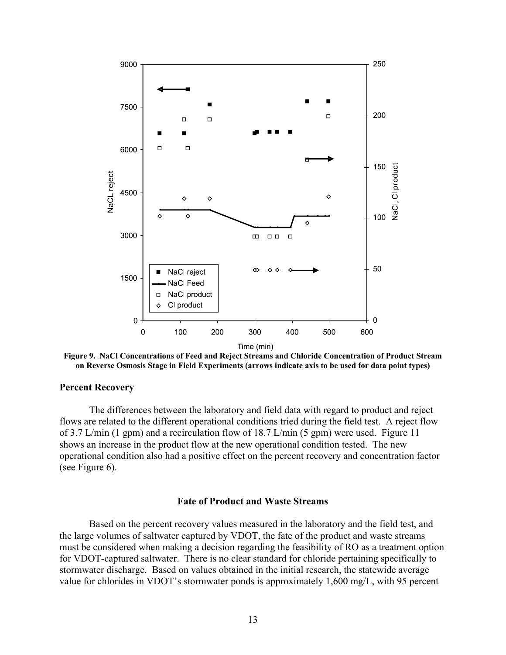

**Figure 9. NaCl Concentrations of Feed and Reject Streams and Chloride Concentration of Product Stream on Reverse Osmosis Stage in Field Experiments (arrows indicate axis to be used for data point types)** 

### **Percent Recovery**

The differences between the laboratory and field data with regard to product and reject flows are related to the different operational conditions tried during the field test. A reject flow of 3.7 L/min (1 gpm) and a recirculation flow of 18.7 L/min (5 gpm) were used. Figure 11 shows an increase in the product flow at the new operational condition tested. The new operational condition also had a positive effect on the percent recovery and concentration factor (see Figure 6).

### **Fate of Product and Waste Streams**

 Based on the percent recovery values measured in the laboratory and the field test, and the large volumes of saltwater captured by VDOT, the fate of the product and waste streams must be considered when making a decision regarding the feasibility of RO as a treatment option for VDOT-captured saltwater. There is no clear standard for chloride pertaining specifically to stormwater discharge. Based on values obtained in the initial research, the statewide average value for chlorides in VDOT's stormwater ponds is approximately 1,600 mg/L, with 95 percent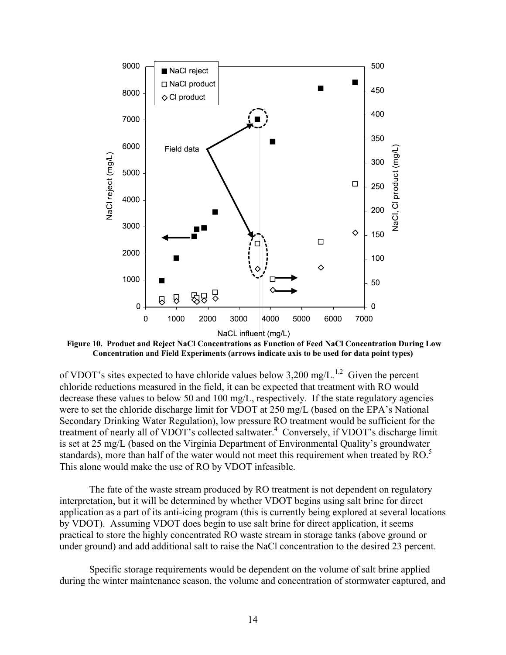

**Figure 10. Product and Reject NaCl Concentrations as Function of Feed NaCl Concentration During Low Concentration and Field Experiments (arrows indicate axis to be used for data point types)** 

of VDOT's sites expected to have chloride values below 3,200 mg/L.<sup>1,2</sup> Given the percent chloride reductions measured in the field, it can be expected that treatment with RO would decrease these values to below 50 and 100 mg/L, respectively. If the state regulatory agencies were to set the chloride discharge limit for VDOT at 250 mg/L (based on the EPA's National Secondary Drinking Water Regulation), low pressure RO treatment would be sufficient for the treatment of nearly all of VDOT's collected saltwater.<sup>4</sup> Conversely, if VDOT's discharge limit is set at 25 mg/L (based on the Virginia Department of Environmental Quality's groundwater standards), more than half of the water would not meet this requirement when treated by RO.<sup>5</sup> This alone would make the use of RO by VDOT infeasible.

The fate of the waste stream produced by RO treatment is not dependent on regulatory interpretation, but it will be determined by whether VDOT begins using salt brine for direct application as a part of its anti-icing program (this is currently being explored at several locations by VDOT). Assuming VDOT does begin to use salt brine for direct application, it seems practical to store the highly concentrated RO waste stream in storage tanks (above ground or under ground) and add additional salt to raise the NaCl concentration to the desired 23 percent.

Specific storage requirements would be dependent on the volume of salt brine applied during the winter maintenance season, the volume and concentration of stormwater captured, and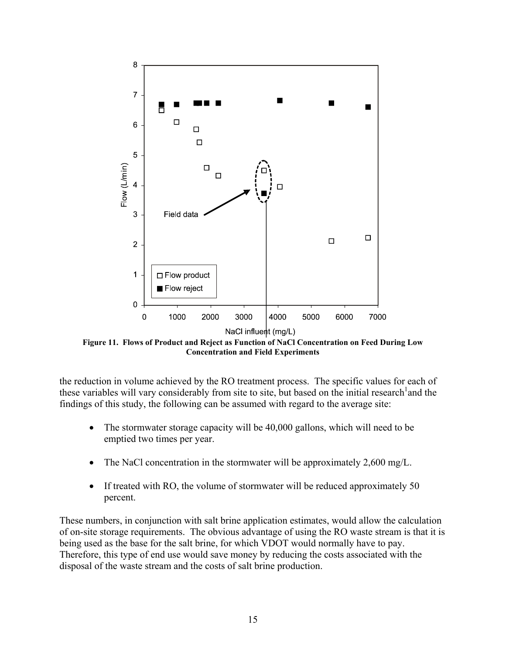

**Figure 11. Flows of Product and Reject as Function of NaCl Concentration on Feed During Low Concentration and Field Experiments** 

the reduction in volume achieved by the RO treatment process. The specific values for each of these variables will vary considerably from site to site, but based on the initial research<sup>1</sup> and the findings of this study, the following can be assumed with regard to the average site:

- The stormwater storage capacity will be 40,000 gallons, which will need to be emptied two times per year.
- The NaCl concentration in the stormwater will be approximately 2,600 mg/L.
- If treated with RO, the volume of stormwater will be reduced approximately 50 percent.

These numbers, in conjunction with salt brine application estimates, would allow the calculation of on-site storage requirements. The obvious advantage of using the RO waste stream is that it is being used as the base for the salt brine, for which VDOT would normally have to pay. Therefore, this type of end use would save money by reducing the costs associated with the disposal of the waste stream and the costs of salt brine production.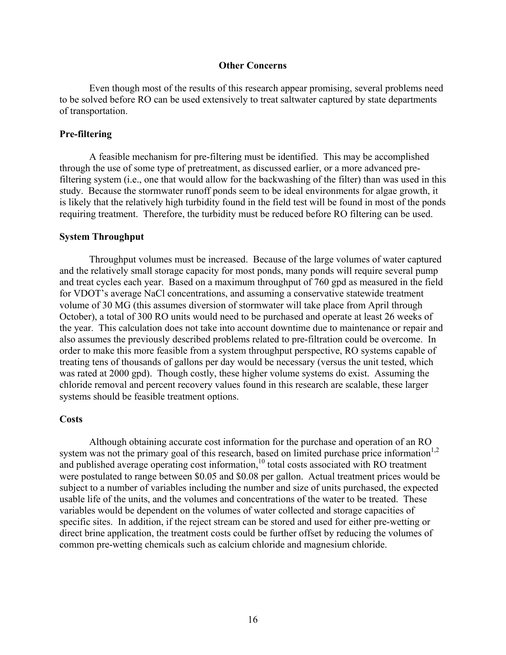### **Other Concerns**

Even though most of the results of this research appear promising, several problems need to be solved before RO can be used extensively to treat saltwater captured by state departments of transportation.

## **Pre-filtering**

A feasible mechanism for pre-filtering must be identified. This may be accomplished through the use of some type of pretreatment, as discussed earlier, or a more advanced prefiltering system (i.e., one that would allow for the backwashing of the filter) than was used in this study. Because the stormwater runoff ponds seem to be ideal environments for algae growth, it is likely that the relatively high turbidity found in the field test will be found in most of the ponds requiring treatment. Therefore, the turbidity must be reduced before RO filtering can be used.

### **System Throughput**

Throughput volumes must be increased. Because of the large volumes of water captured and the relatively small storage capacity for most ponds, many ponds will require several pump and treat cycles each year. Based on a maximum throughput of 760 gpd as measured in the field for VDOT's average NaCl concentrations, and assuming a conservative statewide treatment volume of 30 MG (this assumes diversion of stormwater will take place from April through October), a total of 300 RO units would need to be purchased and operate at least 26 weeks of the year. This calculation does not take into account downtime due to maintenance or repair and also assumes the previously described problems related to pre-filtration could be overcome. In order to make this more feasible from a system throughput perspective, RO systems capable of treating tens of thousands of gallons per day would be necessary (versus the unit tested, which was rated at 2000 gpd). Though costly, these higher volume systems do exist. Assuming the chloride removal and percent recovery values found in this research are scalable, these larger systems should be feasible treatment options.

#### **Costs**

Although obtaining accurate cost information for the purchase and operation of an RO system was not the primary goal of this research, based on limited purchase price information<sup>1,2</sup> and published average operating cost information,<sup>10</sup> total costs associated with RO treatment were postulated to range between \$0.05 and \$0.08 per gallon. Actual treatment prices would be subject to a number of variables including the number and size of units purchased, the expected usable life of the units, and the volumes and concentrations of the water to be treated. These variables would be dependent on the volumes of water collected and storage capacities of specific sites. In addition, if the reject stream can be stored and used for either pre-wetting or direct brine application, the treatment costs could be further offset by reducing the volumes of common pre-wetting chemicals such as calcium chloride and magnesium chloride.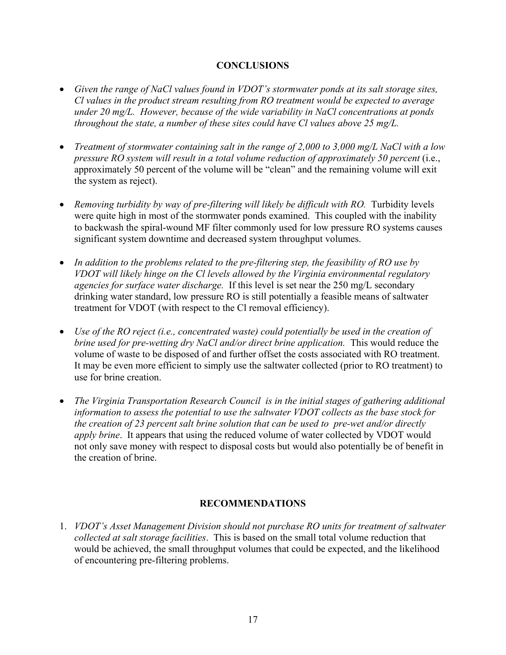# **CONCLUSIONS**

- *Given the range of NaCl values found in VDOT's stormwater ponds at its salt storage sites, Cl values in the product stream resulting from RO treatment would be expected to average under 20 mg/L. However, because of the wide variability in NaCl concentrations at ponds throughout the state, a number of these sites could have Cl values above 25 mg/L.*
- *Treatment of stormwater containing salt in the range of 2,000 to 3,000 mg/L NaCl with a low pressure RO system will result in a total volume reduction of approximately 50 percent* (i.e., approximately 50 percent of the volume will be "clean" and the remaining volume will exit the system as reject).
- *Removing turbidity by way of pre-filtering will likely be difficult with RO.* Turbidity levels were quite high in most of the stormwater ponds examined. This coupled with the inability to backwash the spiral-wound MF filter commonly used for low pressure RO systems causes significant system downtime and decreased system throughput volumes.
- *In addition to the problems related to the pre-filtering step, the feasibility of RO use by VDOT will likely hinge on the Cl levels allowed by the Virginia environmental regulatory agencies for surface water discharge.* If this level is set near the 250 mg/L secondary drinking water standard, low pressure RO is still potentially a feasible means of saltwater treatment for VDOT (with respect to the Cl removal efficiency).
- *Use of the RO reject (i.e., concentrated waste) could potentially be used in the creation of brine used for pre-wetting dry NaCl and/or direct brine application.* This would reduce the volume of waste to be disposed of and further offset the costs associated with RO treatment. It may be even more efficient to simply use the saltwater collected (prior to RO treatment) to use for brine creation.
- *The Virginia Transportation Research Council is in the initial stages of gathering additional information to assess the potential to use the saltwater VDOT collects as the base stock for the creation of 23 percent salt brine solution that can be used to pre-wet and/or directly apply brine*. It appears that using the reduced volume of water collected by VDOT would not only save money with respect to disposal costs but would also potentially be of benefit in the creation of brine.

# **RECOMMENDATIONS**

1. *VDOT's Asset Management Division should not purchase RO units for treatment of saltwater collected at salt storage facilities*. This is based on the small total volume reduction that would be achieved, the small throughput volumes that could be expected, and the likelihood of encountering pre-filtering problems.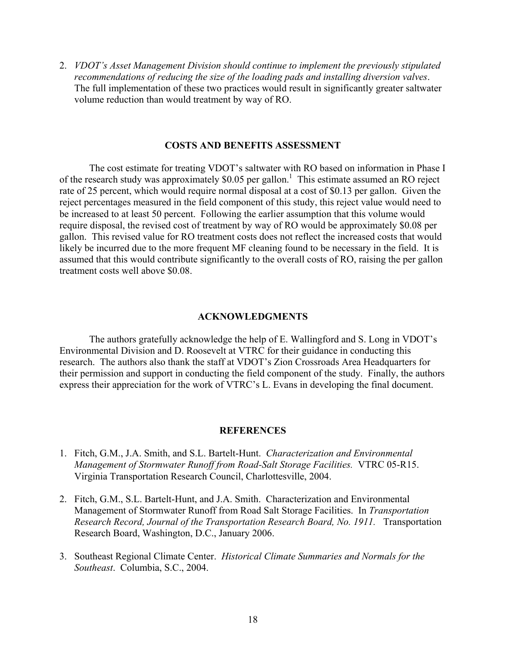2. *VDOT's Asset Management Division should continue to implement the previously stipulated recommendations of reducing the size of the loading pads and installing diversion valves*. The full implementation of these two practices would result in significantly greater saltwater volume reduction than would treatment by way of RO.

## **COSTS AND BENEFITS ASSESSMENT**

 The cost estimate for treating VDOT's saltwater with RO based on information in Phase I of the research study was approximately \$0.05 per gallon.<sup>1</sup> This estimate assumed an RO reject rate of 25 percent, which would require normal disposal at a cost of \$0.13 per gallon. Given the reject percentages measured in the field component of this study, this reject value would need to be increased to at least 50 percent. Following the earlier assumption that this volume would require disposal, the revised cost of treatment by way of RO would be approximately \$0.08 per gallon. This revised value for RO treatment costs does not reflect the increased costs that would likely be incurred due to the more frequent MF cleaning found to be necessary in the field. It is assumed that this would contribute significantly to the overall costs of RO, raising the per gallon treatment costs well above \$0.08.

# **ACKNOWLEDGMENTS**

The authors gratefully acknowledge the help of E. Wallingford and S. Long in VDOT's Environmental Division and D. Roosevelt at VTRC for their guidance in conducting this research. The authors also thank the staff at VDOT's Zion Crossroads Area Headquarters for their permission and support in conducting the field component of the study. Finally, the authors express their appreciation for the work of VTRC's L. Evans in developing the final document.

#### **REFERENCES**

- 1. Fitch, G.M., J.A. Smith, and S.L. Bartelt-Hunt. *Characterization and Environmental Management of Stormwater Runoff from Road-Salt Storage Facilities.* VTRC 05-R15. Virginia Transportation Research Council, Charlottesville, 2004.
- 2. Fitch, G.M., S.L. Bartelt-Hunt, and J.A. Smith. Characterization and Environmental Management of Stormwater Runoff from Road Salt Storage Facilities. In *Transportation Research Record, Journal of the Transportation Research Board, No. 1911.* Transportation Research Board, Washington, D.C., January 2006.
- 3. Southeast Regional Climate Center. *Historical Climate Summaries and Normals for the Southeast*. Columbia, S.C., 2004.